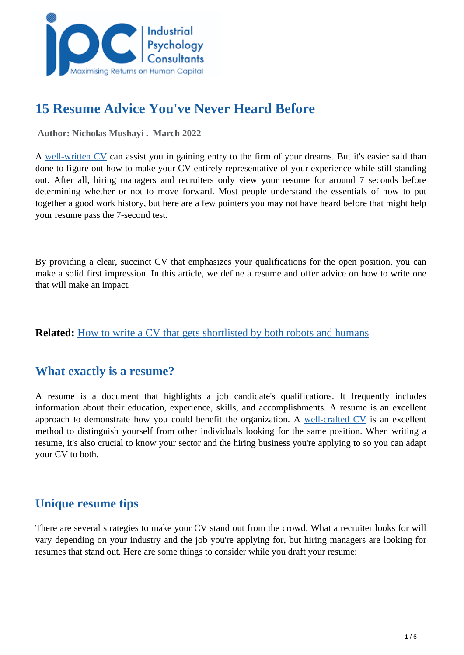

# **15 Resume Advice You've Never Heard Before**

 **Author: Nicholas Mushayi . March 2022** 

A [well-written CV](../articles/achievement-based-cv-a-quick-way-to-getting-shortlisted) can assist you in gaining entry to the firm of your dreams. But it's easier said than done to figure out how to make your CV entirely representative of your experience while still standing out. After all, hiring managers and recruiters only view your resume for around 7 seconds before determining whether or not to move forward. Most people understand the essentials of how to put together a good work history, but here are a few pointers you may not have heard before that might help your resume pass the 7-second test.

By providing a clear, succinct CV that emphasizes your qualifications for the open position, you can make a solid first impression. In this article, we define a resume and offer advice on how to write one that will make an impact.

#### **Related:** [How to write a CV that gets shortlisted by both robots and humans](../articles/how-to-write-a-cv-that-gets-shortlisted-by-both-robots-and-humans)

## **What exactly is a resume?**

A resume is a document that highlights a job candidate's qualifications. It frequently includes information about their education, experience, skills, and accomplishments. A resume is an excellent approach to demonstrate how you could benefit the organization. A well-crafted  $CV$  is an excellent method to distinguish yourself from other individuals looking for the same position. When writing a resume, it's also crucial to know your sector and the hiring business you're applying to so you can adapt your CV to both.

## **Unique resume tips**

There are several strategies to make your CV stand out from the crowd. What a recruiter looks for will vary depending on your industry and the job you're applying for, but hiring managers are looking for resumes that stand out. Here are some things to consider while you draft your resume: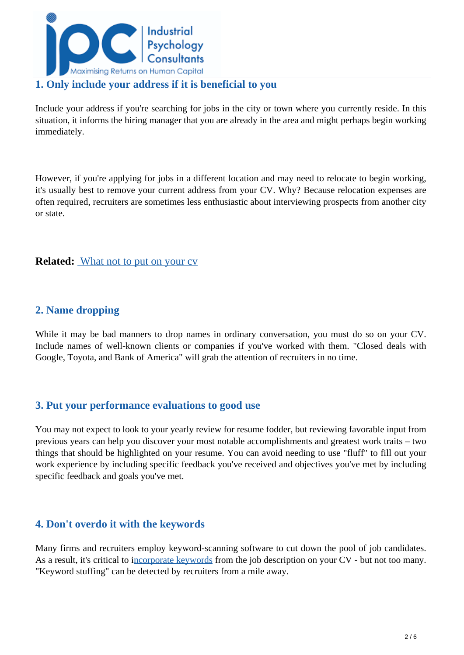

## **1. Only include your address if it is beneficial to you**

Include your address if you're searching for jobs in the city or town where you currently reside. In this situation, it informs the hiring manager that you are already in the area and might perhaps begin working immediately.

However, if you're applying for jobs in a different location and may need to relocate to begin working, it's usually best to remove your current address from your CV. Why? Because relocation expenses are often required, recruiters are sometimes less enthusiastic about interviewing prospects from another city or state.

#### **Related:**[What not to put on your cv](../articles/what-not-to-put-on-your-cv)

## **2. Name dropping**

While it may be bad manners to drop names in ordinary conversation, you must do so on your CV. Include names of well-known clients or companies if you've worked with them. "Closed deals with Google, Toyota, and Bank of America" will grab the attention of recruiters in no time.

## **3. Put your performance evaluations to good use**

You may not expect to look to your yearly review for resume fodder, but reviewing favorable input from previous years can help you discover your most notable accomplishments and greatest work traits – two things that should be highlighted on your resume. You can avoid needing to use "fluff" to fill out your work experience by including specific feedback you've received and objectives you've met by including specific feedback and goals you've met.

## **4. Don't overdo it with the keywords**

Many firms and recruiters employ keyword-scanning software to cut down the pool of job candidates. As a result, it's critical to i[ncorporate keywords](../articles/These-Resume-Keywords-Will-Help-You-Get-Your-Dream-Job) from the job description on your CV - but not too many. "Keyword stuffing" can be detected by recruiters from a mile away.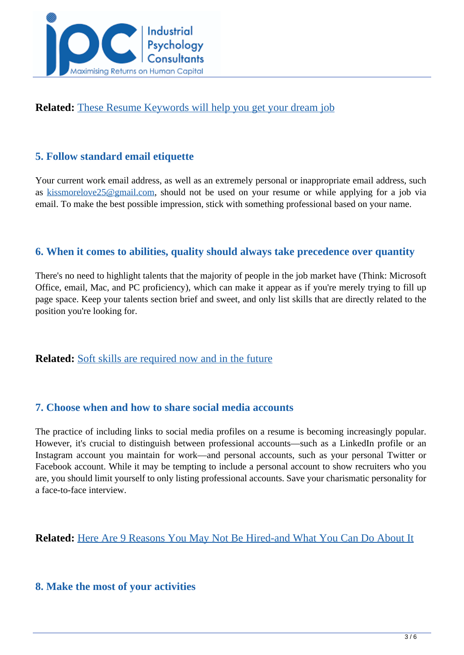

## **Related:** [These Resume Keywords will help you get your dream job](../articles/These-Resume-Keywords-Will-Help-You-Get-Your-Dream-Job)

## **5. Follow standard email etiquette**

Your current work email address, as well as an extremely personal or inappropriate email address, such as [kissmorelove25@gmail.com](mailto:kissmorelove25@gmail.com), should not be used on your resume or while applying for a job via email. To make the best possible impression, stick with something professional based on your name.

## **6. When it comes to abilities, quality should always take precedence over quantity**

There's no need to highlight talents that the majority of people in the job market have (Think: Microsoft Office, email, Mac, and PC proficiency), which can make it appear as if you're merely trying to fill up page space. Keep your talents section brief and sweet, and only list skills that are directly related to the position you're looking for.

#### **Related:** [Soft skills are required now and in the future](../articles/Soft-Skills-Required-Now-And-In-The-Future)

#### **7. Choose when and how to share social media accounts**

The practice of including links to social media profiles on a resume is becoming increasingly popular. However, it's crucial to distinguish between professional accounts—such as a LinkedIn profile or an Instagram account you maintain for work—and personal accounts, such as your personal Twitter or Facebook account. While it may be tempting to include a personal account to show recruiters who you are, you should limit yourself to only listing professional accounts. Save your charismatic personality for a face-to-face interview.

**Related:** [Here Are 9 Reasons You May Not Be Hired-and What You Can Do About It](../articles/here-are-9-reasons-you-may-not-be-hiredand-what-you-can-do-about-it)

#### **8. Make the most of your activities**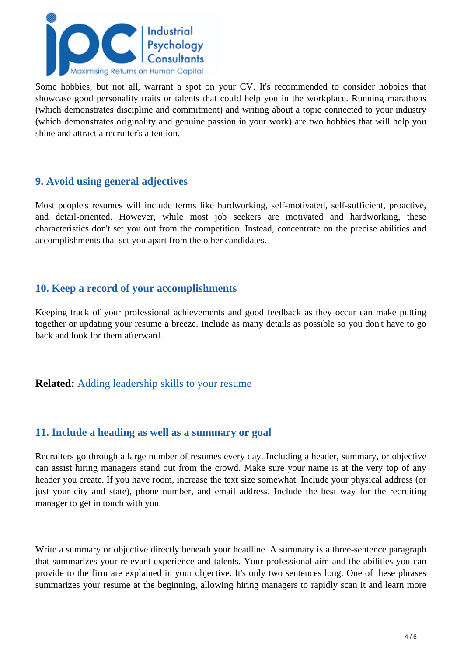

Some hobbies, but not all, warrant a spot on your CV. It's recommended to consider hobbies that showcase good personality traits or talents that could help you in the workplace. Running marathons (which demonstrates discipline and commitment) and writing about a topic connected to your industry (which demonstrates originality and genuine passion in your work) are two hobbies that will help you shine and attract a recruiter's attention.

#### **9. Avoid using general adjectives**

Most people's resumes will include terms like hardworking, self-motivated, self-sufficient, proactive, and detail-oriented. However, while most job seekers are motivated and hardworking, these characteristics don't set you out from the competition. Instead, concentrate on the precise abilities and accomplishments that set you apart from the other candidates.

## **10. Keep a record of your accomplishments**

Keeping track of your professional achievements and good feedback as they occur can make putting together or updating your resume a breeze. Include as many details as possible so you don't have to go back and look for them afterward.

#### **Related:** [Adding leadership skills to your resume](../articles/adding-leadership-skills-to-your-resume)

#### **11. Include a heading as well as a summary or goal**

Recruiters go through a large number of resumes every day. Including a header, summary, or objective can assist hiring managers stand out from the crowd. Make sure your name is at the very top of any header you create. If you have room, increase the text size somewhat. Include your physical address (or just your city and state), phone number, and email address. Include the best way for the recruiting manager to get in touch with you.

Write a summary or objective directly beneath your headline. A summary is a three-sentence paragraph that summarizes your relevant experience and talents. Your professional aim and the abilities you can provide to the firm are explained in your objective. It's only two sentences long. One of these phrases summarizes your resume at the beginning, allowing hiring managers to rapidly scan it and learn more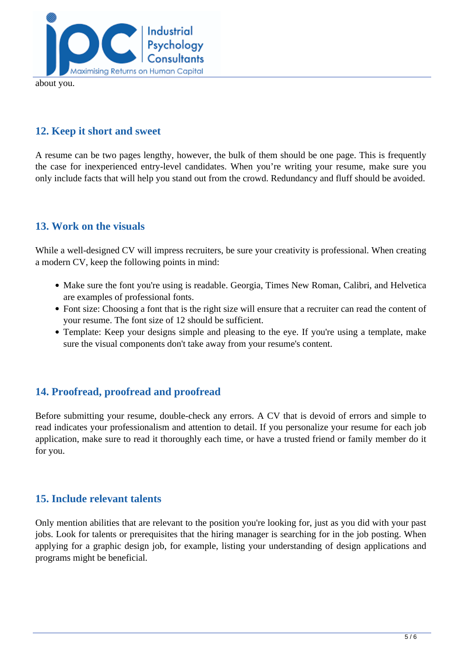

about you.

## **12. Keep it short and sweet**

A resume can be two pages lengthy, however, the bulk of them should be one page. This is frequently the case for inexperienced entry-level candidates. When you're writing your resume, make sure you only include facts that will help you stand out from the crowd. Redundancy and fluff should be avoided.

#### **13. Work on the visuals**

While a well-designed CV will impress recruiters, be sure your creativity is professional. When creating a modern CV, keep the following points in mind:

- Make sure the font you're using is readable. Georgia, Times New Roman, Calibri, and Helvetica are examples of professional fonts.
- Font size: Choosing a font that is the right size will ensure that a recruiter can read the content of your resume. The font size of 12 should be sufficient.
- Template: Keep your designs simple and pleasing to the eye. If you're using a template, make sure the visual components don't take away from your resume's content.

## **14. Proofread, proofread and proofread**

Before submitting your resume, double-check any errors. A CV that is devoid of errors and simple to read indicates your professionalism and attention to detail. If you personalize your resume for each job application, make sure to read it thoroughly each time, or have a trusted friend or family member do it for you.

#### **15. Include relevant talents**

Only mention abilities that are relevant to the position you're looking for, just as you did with your past jobs. Look for talents or prerequisites that the hiring manager is searching for in the job posting. When applying for a graphic design job, for example, listing your understanding of design applications and programs might be beneficial.